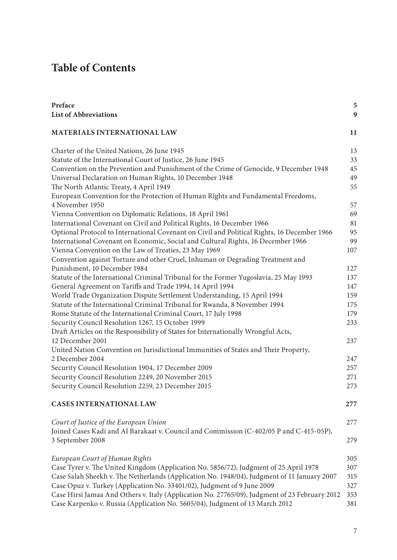## **Table of Contents**

| Preface<br><b>List of Abbreviations</b>                                                             | 5<br>9 |
|-----------------------------------------------------------------------------------------------------|--------|
| <b>MATERIALS INTERNATIONAL LAW</b>                                                                  | 11     |
| Charter of the United Nations, 26 June 1945                                                         | 13     |
| Statute of the International Court of Justice, 26 June 1945                                         | 33     |
| Convention on the Prevention and Punishment of the Crime of Genocide, 9 December 1948               | 45     |
| Universal Declaration on Human Rights, 10 December 1948                                             | 49     |
| The North Atlantic Treaty, 4 April 1949                                                             | 55     |
| European Convention for the Protection of Human Rights and Fundamental Freedoms,<br>4 November 1950 | 57     |
| Vienna Convention on Diplomatic Relations, 18 April 1961                                            | 69     |
| International Covenant on Civil and Political Rights, 16 December 1966                              | 81     |
| Optional Protocol to International Covenant on Civil and Political Rights, 16 December 1966         | 95     |
| International Covenant on Economic, Social and Cultural Rights, 16 December 1966                    | 99     |
| Vienna Convention on the Law of Treaties, 23 May 1969                                               | 107    |
| Convention against Torture and other Cruel, Inhuman or Degrading Treatment and                      |        |
| Punishment, 10 December 1984                                                                        | 127    |
| Statute of the International Criminal Tribunal for the Former Yugoslavia, 25 May 1993               | 137    |
| General Agreement on Tariffs and Trade 1994, 14 April 1994                                          | 147    |
| World Trade Organization Dispute Settlement Understanding, 15 April 1994                            | 159    |
| Statute of the International Criminal Tribunal for Rwanda, 8 November 1994                          | 175    |
| Rome Statute of the International Criminal Court, 17 July 1998                                      | 179    |
| Security Council Resolution 1267, 15 October 1999                                                   | 233    |
| Draft Articles on the Responsibility of States for Internationally Wrongful Acts,                   |        |
| 12 December 2001                                                                                    | 237    |
| United Nation Convention on Jurisdictional Immunities of States and Their Property,                 |        |
| 2 December 2004                                                                                     | 247    |
| Security Council Resolution 1904, 17 December 2009                                                  | 257    |
| Security Council Resolution 2249, 20 November 2015                                                  | 271    |
| Security Council Resolution 2259, 23 December 2015                                                  | 273    |
| <b>CASES INTERNATIONAL LAW</b>                                                                      | 277    |
| Court of Justice of the European Union                                                              | 277    |
| Joined Cases Kadi and Al Barakaat v. Council and Commission (C-402/05 P and C-415-05P),             |        |
| 3 September 2008                                                                                    | 279    |
| European Court of Human Rights                                                                      | 305    |
| Case Tyrer v. The United Kingdom (Application No. 5856/72), Judgment of 25 April 1978               | 307    |
| Case Salah Sheekh v. The Netherlands (Application No. 1948/04), Judgment of 11 January 2007         | 315    |
| Case Opuz v. Turkey (Application No. 33401/02), Judgment of 9 June 2009                             | 327    |
| Case Hirsi Jamaa And Others v. Italy (Application No. 27765/09), Judgment of 23 February 2012       | 353    |
| Case Karpenko v. Russia (Application No. 5605/04), Judgment of 13 March 2012                        | 381    |